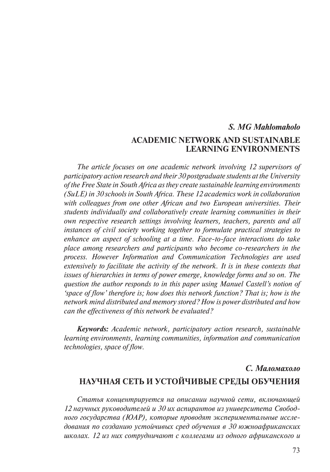# *S. MG Mahlomaholo*  **Academic Network and Sustainable Learning Environments**

*The article focuses on one academic network involving 12 supervisors of participatory action research and their 30 postgraduate students at the University of the Free State in South Africa as they create sustainable learning environments (SuLE) in 30 schools in South Africa. These 12 academics work in collaboration with colleagues from one other African and two European universities. Their students individually and collaboratively create learning communities in their own respective research settings involving learners, teachers, parents and all instances of civil society working together to formulate practical strategies to enhance an aspect of schooling at a time. Face-to-face interactions do take place among researchers and participants who become co-researchers in the process. However Information and Communication Technologies are used extensively to facilitate the activity of the network. It is in these contexts that issues of hierarchies in terms of power emerge, knowledge forms and so on. The question the author responds to in this paper using Manuel Castell's notion of 'space of flow' therefore is; how does this network function? That is; how is the network mind distributed and memory stored? How is power distributed and how can the effectiveness of this network be evaluated?*

*Keywords: Academic network, participatory action research, sustainable learning environments, learning communities, information and communication technologies, space of flow.*

# *С. Маломахоло*  **Научная сеть и устойчивые среды обучения**

*Статья концентрируется на описании научной сети, включающей 12 научных руководителей и 30 их аспирантов из университета Свободного государства (ЮАР), которые проводят экспериментальные исследования по созданию устойчивых сред обучения в 30 южноафриканских школах. 12 из них сотрудничают с коллегами из одного африканского и*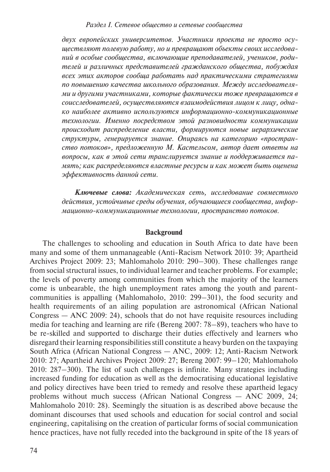*двух европейских университетов. Участники проекта не просто осуществляют полевую работу, но и превращают объекты своих исследований в особые сообщества, включающие преподавателей, учеников, родителей и различных представителей гражданского общества, побуждая всех этих акторов сообща работать над практическими стратегиями по повышению качества школьного образования. Между исследователями и другими участниками, которые фактически тоже превращаются в соисследователей, осуществляются взаимодействия лицом к лицу, однако наиболее активно используются информационно-коммуникационные технологии. Именно посредством этой разновидности коммуникации происходит распределение власти, формируются новые иерархические структуры, генерируется знание. Опираясь на категорию «пространство потоков», предложенную М. Кастельсом, автор дает ответы на вопросы, как в этой сети транслируется знание и поддерживается память; как распределяются властные ресурсы и как может быть оценена эффективность данной сети.*

*Ключевые слова: Академическая сеть, исследование совместного действия, устойчивые среды обучения, обучающиеся сообщества, информационно-коммуникационные технологии, пространство потоков.*

# **Background**

The challenges to schooling and education in South Africa to date have been many and some of them unmanageable (Anti-Racism Network 2010: 39; Apartheid Archives Project 2009: 23; Mahlomaholo 2010: 290–300). These challenges range from social structural issues, to individual learner and teacher problems. For example; the levels of poverty among communities from which the majority of the learners come is unbearable, the high unemployment rates among the youth and parentcommunities is appalling (Mahlomaholo, 2010: 299–301), the food security and health requirements of an ailing population are astronomical (African National Congress — ANC 2009: 24), schools that do not have requisite resources including media for teaching and learning are rife (Bereng 2007: 78–89), teachers who have to be re-skilled and supported to discharge their duties effectively and learners who disregard their learning responsibilities still constitute a heavy burden on the taxpaying South Africa (African National Congress — ANC, 2009: 12; Anti-Racism Network 2010: 27; Apartheid Archives Project 2009: 27; Bereng 2007: 99–120; Mahlomaholo 2010: 287–300). The list of such challenges is infinite. Many strategies including increased funding for education as well as the democratising educational legislative and policy directives have been tried to remedy and resolve these apartheid legacy problems without much success (African National Congress — ANC 2009, 24; Mahlomaholo 2010: 28). Seemingly the situation is as described above because the dominant discourses that used schools and education for social control and social engineering, capitalising on the creation of particular forms of social communication hence practices, have not fully receded into the background in spite of the 18 years of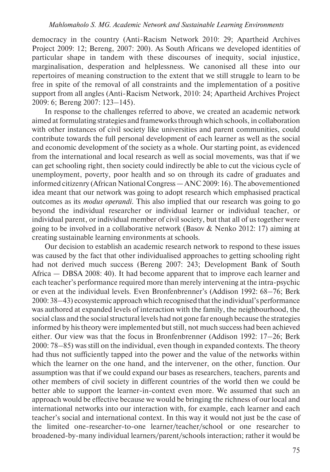democracy in the country (Anti-Racism Network 2010: 29; Apartheid Archives Project 2009: 12; Bereng, 2007: 200). As South Africans we developed identities of particular shape in tandem with these discourses of inequity, social injustice, marginalisation, desperation and helplessness. We canonised all these into our repertoires of meaning construction to the extent that we still struggle to learn to be free in spite of the removal of all constraints and the implementation of a positive support from all angles (Anti-Racism Network, 2010: 24; Apartheid Archives Project 2009: 6; Bereng 2007: 123–145).

In response to the challenges referred to above, we created an academic network aimed at formulating strategies and frameworks through which schools, in collaboration with other instances of civil society like universities and parent communities, could contribute towards the full personal development of each learner as well as the social and economic development of the society as a whole. Our starting point, as evidenced from the international and local research as well as social movements, was that if we can get schooling right, then society could indirectly be able to cut the vicious cycle of unemployment, poverty, poor health and so on through its cadre of graduates and informed citizenry (African National Congress — ANC 2009: 16). The abovementioned idea meant that our network was going to adopt research which emphasised practical outcomes as its *modus operandi*. This also implied that our research was going to go beyond the individual researcher or individual learner or individual teacher, or individual parent, or individual member of civil society, but that all of us together were going to be involved in a collaborative network (Basov & Nenko 2012: 17) aiming at creating sustainable learning environments at schools.

Our decision to establish an academic research network to respond to these issues was caused by the fact that other individualised approaches to getting schooling right had not derived much success (Bereng 2007: 243; Development Bank of South Africa — DBSA 2008: 40). It had become apparent that to improve each learner and each teacher's performance required more than merely intervening at the intra-psychic or even at the individual levels. Even Bronfenbrenner's (Addison 1992: 68–76; Berk 2000: 38–43) ecosystemic approach which recognised that the individual's performance was authored at expanded levels of interaction with the family, the neighbourhood, the social class and the social structural levels had not gone far enough because the strategies informed by his theory were implemented but still, not much success had been achieved either. Our view was that the focus in Bronfenbrenner (Addison 1992: 17–26; Berk 2000: 78–85) was still on the individual, even though in expanded contexts. The theory had thus not sufficiently tapped into the power and the value of the networks within which the learner on the one hand, and the intervener, on the other, function. Our assumption was that if we could expand our bases as researchers, teachers, parents and other members of civil society in different countries of the world then we could be better able to support the learner-in-context even more. We assumed that such an approach would be effective because we would be bringing the richness of our local and international networks into our interaction with, for example, each learner and each teacher's social and international context. In this way it would not just be the case of the limited one-researcher-to-one learner/teacher/school or one researcher to broadened-by-many individual learners/parent/schools interaction; rather it would be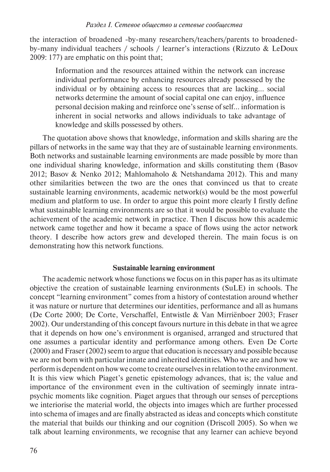the interaction of broadened -by-many researchers/teachers/parents to broadenedby-many individual teachers / schools / learner's interactions (Rizzuto & LeDoux 2009: 177) are emphatic on this point that;

Information and the resources attained within the network can increase individual performance by enhancing resources already possessed by the individual or by obtaining access to resources that are lacking… social networks determine the amount of social capital one can enjoy, influence personal decision making and reinforce one's sense of self… information is inherent in social networks and allows individuals to take advantage of knowledge and skills possessed by others.

The quotation above shows that knowledge, information and skills sharing are the pillars of networks in the same way that they are of sustainable learning environments. Both networks and sustainable learning environments are made possible by more than one individual sharing knowledge, information and skills constituting them (Basov 2012; Basov & Nenko 2012; Mahlomaholo & Netshandama 2012). This and many other similarities between the two are the ones that convinced us that to create sustainable learning environments, academic network(s) would be the most powerful medium and platform to use. In order to argue this point more clearly I firstly define what sustainable learning environments are so that it would be possible to evaluate the achievement of the academic network in practice. Then I discuss how this academic network came together and how it became a space of flows using the actor network theory. I describe how actors grew and developed therein. The main focus is on demonstrating how this network functions.

# **Sustainable learning environment**

The academic network whose functions we focus on in this paper has as its ultimate objective the creation of sustainable learning environments (SuLE) in schools. The concept "learning environment" comes from a history of contestation around whether it was nature or nurture that determines our identities, performance and all as humans (De Corte 2000; De Corte, Verschaffel, Entwistle & Van Mirriënboer 2003; Fraser 2002). Our understanding of this concept favours nurture in this debate in that we agree that it depends on how one's environment is organised, arranged and structured that one assumes a particular identity and performance among others. Even De Corte (2000) and Fraser (2002) seem to argue that education is necessary and possible because we are not born with particular innate and inherited identities. Who we are and how we perform is dependent on how we come to create ourselves in relation to the environment. It is this view which Piaget's genetic epistemology advances, that is; the value and importance of the environment even in the cultivation of seemingly innate intrapsychic moments like cognition. Piaget argues that through our senses of perceptions we interiorise the material world, the objects into images which are further processed into schema of images and are finally abstracted as ideas and concepts which constitute the material that builds our thinking and our cognition (Driscoll 2005). So when we talk about learning environments, we recognise that any learner can achieve beyond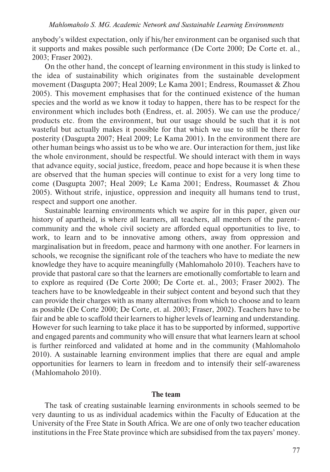anybody's wildest expectation, only if his/her environment can be organised such that it supports and makes possible such performance (De Corte 2000; De Corte et. al., 2003; Fraser 2002).

On the other hand, the concept of learning environment in this study is linked to the idea of sustainability which originates from the sustainable development movement (Dasgupta 2007; Heal 2009; Le Kama 2001; Endress, Roumasset & Zhou 2005). This movement emphasises that for the continued existence of the human species and the world as we know it today to happen, there has to be respect for the environment which includes both (Endress, et. al. 2005). We can use the produce/ products etc. from the environment, but our usage should be such that it is not wasteful but actually makes it possible for that which we use to still be there for posterity (Dasgupta 2007; Heal 2009; Le Kama 2001). In the environment there are other human beings who assist us to be who we are. Our interaction for them, just like the whole environment, should be respectful. We should interact with them in ways that advance equity, social justice, freedom, peace and hope because it is when these are observed that the human species will continue to exist for a very long time to come (Dasgupta 2007; Heal 2009; Le Kama 2001; Endress, Roumasset & Zhou 2005). Without strife, injustice, oppression and inequity all humans tend to trust, respect and support one another.

Sustainable learning environments which we aspire for in this paper, given our history of apartheid, is where all learners, all teachers, all members of the parentcommunity and the whole civil society are afforded equal opportunities to live, to work, to learn and to be innovative among others, away from oppression and marginalisation but in freedom, peace and harmony with one another. For learners in schools, we recognise the significant role of the teachers who have to mediate the new knowledge they have to acquire meaningfully (Mahlomaholo 2010). Teachers have to provide that pastoral care so that the learners are emotionally comfortable to learn and to explore as required (De Corte 2000; De Corte et. al., 2003; Fraser 2002). The teachers have to be knowledgeable in their subject content and beyond such that they can provide their charges with as many alternatives from which to choose and to learn as possible (De Corte 2000; De Corte, et. al. 2003; Fraser, 2002). Teachers have to be fair and be able to scaffold their learners to higher levels of learning and understanding. However for such learning to take place it has to be supported by informed, supportive and engaged parents and community who will ensure that what learners learn at school is further reinforced and validated at home and in the community (Mahlomaholo 2010). A sustainable learning environment implies that there are equal and ample opportunities for learners to learn in freedom and to intensify their self-awareness (Mahlomaholo 2010).

# **The team**

The task of creating sustainable learning environments in schools seemed to be very daunting to us as individual academics within the Faculty of Education at the University of the Free State in South Africa. We are one of only two teacher education institutions in the Free State province which are subsidised from the tax payers' money.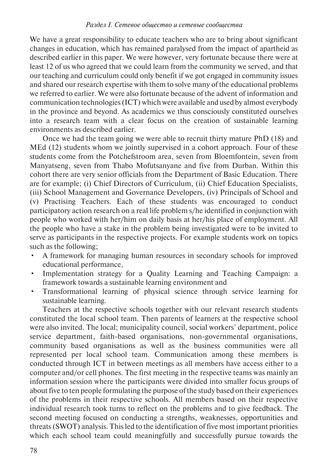We have a great responsibility to educate teachers who are to bring about significant changes in education, which has remained paralysed from the impact of apartheid as described earlier in this paper. We were however, very fortunate because there were at least 12 of us who agreed that we could learn from the community we served, and that our teaching and curriculum could only benefit if we got engaged in community issues and shared our research expertise with them to solve many of the educational problems we referred to earlier. We were also fortunate because of the advent of information and communication technologies (ICT) which were available and used by almost everybody in the province and beyond. As academics we thus consciously constituted ourselves into a research team with a clear focus on the creation of sustainable learning environments as described earlier.

Once we had the team going we were able to recruit thirty mature PhD (18) and MEd (12) students whom we jointly supervised in a cohort approach. Four of these students come from the Potchefstroom area, seven from Bloemfontein, seven from Manyatseng, seven from Thabo Mofutsanyane and five from Durban. Within this cohort there are very senior officials from the Department of Basic Education. There are for example; (i) Chief Directors of Curriculum, (ii) Chief Education Specialists, (iii) School Management and Governance Developers, (iv) Principals of School and (v) Practising Teachers. Each of these students was encouraged to conduct participatory action research on a real life problem s/he identified in conjunction with people who worked with her/him on daily basis at her/his place of employment. All the people who have a stake in the problem being investigated were to be invited to serve as participants in the respective projects. For example students work on topics such as the following;

- A framework for managing human resources in secondary schools for improved educational performance,
- Implementation strategy for a Quality Learning and Teaching Campaign: a framework towards a sustainable learning environment and
- Transformational learning of physical science through service learning for sustainable learning.

Teachers at the respective schools together with our relevant research students constituted the local school team. Then parents of learners at the respective school were also invited. The local; municipality council, social workers' department, police service department, faith-based organisations, non-governmental organisations, community based organisations as well as the business communities were all represented per local school team. Communication among these members is conducted through ICT in between meetings as all members have access either to a computer and/or cell phones. The first meeting in the respective teams was mainly an information session where the participants were divided into smaller focus groups of about five to ten people formulating the purpose of the study based on their experiences of the problems in their respective schools. All members based on their respective individual research took turns to reflect on the problems and to give feedback. The second meeting focused on conducting a strengths, weaknesses, opportunities and threats (SWOT) analysis. This led to the identification of five most important priorities which each school team could meaningfully and successfully pursue towards the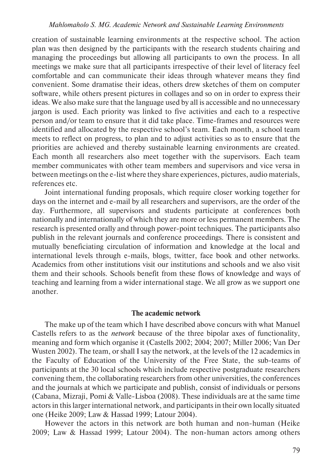creation of sustainable learning environments at the respective school. The action plan was then designed by the participants with the research students chairing and managing the proceedings but allowing all participants to own the process. In all meetings we make sure that all participants irrespective of their level of literacy feel comfortable and can communicate their ideas through whatever means they find convenient. Some dramatise their ideas, others drew sketches of them on computer software, while others present pictures in collages and so on in order to express their ideas. We also make sure that the language used by all is accessible and no unnecessary jargon is used. Each priority was linked to five activities and each to a respective person and/or team to ensure that it did take place. Time-frames and resources were identified and allocated by the respective school's team. Each month, a school team meets to reflect on progress, to plan and to adjust activities so as to ensure that the priorities are achieved and thereby sustainable learning environments are created. Each month all researchers also meet together with the supervisors. Each team member communicates with other team members and supervisors and vice versa in between meetings on the e-list where they share experiences, pictures, audio materials, references etc.

Joint international funding proposals, which require closer working together for days on the internet and e-mail by all researchers and supervisors, are the order of the day. Furthermore, all supervisors and students participate at conferences both nationally and internationally of which they are more or less permanent members. The research is presented orally and through power-point techniques. The participants also publish in the relevant journals and conference proceedings. There is consistent and mutually beneficiating circulation of information and knowledge at the local and international levels through e-mails, blogs, twitter, face book and other networks. Academics from other institutions visit our institutions and schools and we also visit them and their schools. Schools benefit from these flows of knowledge and ways of teaching and learning from a wider international stage. We all grow as we support one another.

#### **The academic network**

The make up of the team which I have described above concurs with what Manuel Castells refers to as the *network* because of the three bipolar axes of functionality, meaning and form which organise it (Castells 2002; 2004; 2007; Miller 2006; Van Der Wusten 2002). The team, or shall I say the network, at the levels of the 12 academics in the Faculty of Education of the University of the Free State, the sub-teams of participants at the 30 local schools which include respective postgraduate researchers convening them, the collaborating researchers from other universities, the conferences and the journals at which we participate and publish, consist of individuals or persons (Cabana, Mizraji, Pomi & Valle-Lisboa (2008). These individuals are at the same time actors in this larger international network, and participants in their own locally situated one (Heike 2009; Law & Hassad 1999; Latour 2004).

However the actors in this network are both human and non-human (Heike 2009; Law & Hassad 1999; Latour 2004). The non-human actors among others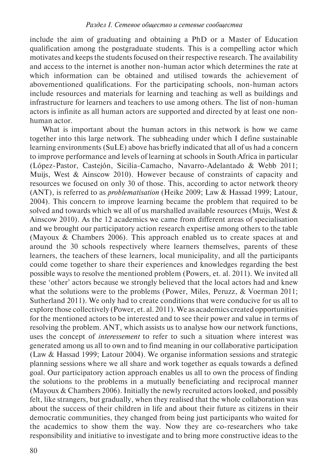include the aim of graduating and obtaining a PhD or a Master of Education qualification among the postgraduate students. This is a compelling actor which motivates and keeps the students focused on their respective research. The availability and access to the internet is another non-human actor which determines the rate at which information can be obtained and utilised towards the achievement of abovementioned qualifications. For the participating schools, non-human actors include resources and materials for learning and teaching as well as buildings and infrastructure for learners and teachers to use among others. The list of non-human actors is infinite as all human actors are supported and directed by at least one nonhuman actor.

What is important about the human actors in this network is how we came together into this large network. The subheading under which I define sustainable learning environments (SuLE) above has briefly indicated that all of us had a concern to improve performance and levels of learning at schools in South Africa in particular (López-Pastor, Castejón, Sicilia-Camacho, Navarro-Adelantado & Webb 2011; Muijs, West & Ainscow 2010). However because of constraints of capacity and resources we focused on only 30 of those. This, according to actor network theory (ANT), is referred to as *problematisation* (Heike 2009; Law & Hassad 1999; Latour, 2004). This concern to improve learning became the problem that required to be solved and towards which we all of us marshalled available resources (Muijs, West  $\&$ Ainscow 2010). As the 12 academics we came from different areas of specialisation and we brought our participatory action research expertise among others to the table (Mayoux & Chambers 2006). This approach enabled us to create spaces at and around the 30 schools respectively where learners themselves, parents of these learners, the teachers of these learners, local municipality, and all the participants could come together to share their experiences and knowledges regarding the best possible ways to resolve the mentioned problem (Powers, et. al. 2011). We invited all these 'other' actors because we strongly believed that the local actors had and knew what the solutions were to the problems (Power, Miles, Peruzz, & Voerman 2011; Sutherland 2011). We only had to create conditions that were conducive for us all to explore those collectively (Power, et. al. 2011). We as academics created opportunities for the mentioned actors to be interested and to see their power and value in terms of resolving the problem. ANT, which assists us to analyse how our network functions, uses the concept of *interessement* to refer to such a situation where interest was generated among us all to own and to find meaning in our collaborative participation (Law & Hassad 1999; Latour 2004). We organise information sessions and strategic planning sessions where we all share and work together as equals towards a defined goal. Our participatory action approach enables us all to own the process of finding the solutions to the problems in a mutually beneficiating and reciprocal manner (Mayoux & Chambers 2006). Initially the newly recruited actors looked, and possibly felt, like strangers, but gradually, when they realised that the whole collaboration was about the success of their children in life and about their future as citizens in their democratic communities, they changed from being just participants who waited for the academics to show them the way. Now they are co-researchers who take responsibility and initiative to investigate and to bring more constructive ideas to the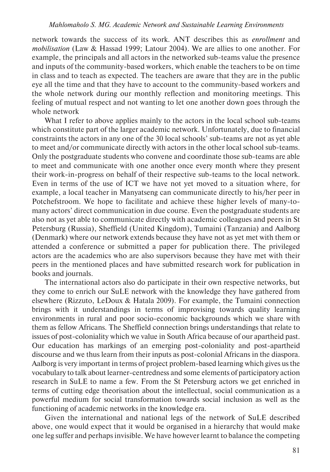network towards the success of its work. ANT describes this as *enrollment* and *mobilisation* (Law & Hassad 1999; Latour 2004). We are allies to one another. For example, the principals and all actors in the networked sub-teams value the presence and inputs of the community-based workers, which enable the teachers to be on time in class and to teach as expected. The teachers are aware that they are in the public eye all the time and that they have to account to the community-based workers and the whole network during our monthly reflection and monitoring meetings. This feeling of mutual respect and not wanting to let one another down goes through the whole network

What I refer to above applies mainly to the actors in the local school sub-teams which constitute part of the larger academic network. Unfortunately, due to financial constraints the actors in any one of the 30 local schools' sub-teams are not as yet able to meet and/or communicate directly with actors in the other local school sub-teams. Only the postgraduate students who convene and coordinate those sub-teams are able to meet and communicate with one another once every month where they present their work-in-progress on behalf of their respective sub-teams to the local network. Even in terms of the use of ICT we have not yet moved to a situation where, for example, a local teacher in Manyatseng can communicate directly to his/her peer in Potchefstroom. We hope to facilitate and achieve these higher levels of many-tomany actors' direct communication in due course. Even the postgraduate students are also not as yet able to communicate directly with academic colleagues and peers in St Petersburg (Russia), Sheffield (United Kingdom), Tumaini (Tanzania) and Aalborg (Denmark) where our network extends because they have not as yet met with them or attended a conference or submitted a paper for publication there. The privileged actors are the academics who are also supervisors because they have met with their peers in the mentioned places and have submitted research work for publication in books and journals.

The international actors also do participate in their own respective networks, but they come to enrich our SuLE network with the knowledge they have gathered from elsewhere (Rizzuto, LeDoux & Hatala 2009). For example, the Tumaini connection brings with it understandings in terms of improvising towards quality learning environments in rural and poor socio-economic backgrounds which we share with them as fellow Africans. The Sheffield connection brings understandings that relate to issues of post-coloniality which we value in South Africa because of our apartheid past. Our education has markings of an emerging post-coloniality and post-apartheid discourse and we thus learn from their inputs as post-colonial Africans in the diaspora. Aalborg is very important in terms of project problem-based learning which gives us the vocabulary to talk about learner-centredness and some elements of participatory action research in SuLE to name a few. From the St Petersburg actors we get enriched in terms of cutting edge theorisation about the intellectual, social communication as a powerful medium for social transformation towards social inclusion as well as the functioning of academic networks in the knowledge era.

Given the international and national legs of the network of SuLE described above, one would expect that it would be organised in a hierarchy that would make one leg suffer and perhaps invisible. We have however learnt to balance the competing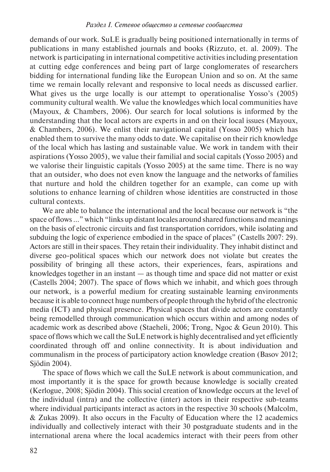demands of our work. SuLE is gradually being positioned internationally in terms of publications in many established journals and books (Rizzuto, et. al. 2009). The network is participating in international competitive activities including presentation at cutting edge conferences and being part of large conglomerates of researchers bidding for international funding like the European Union and so on. At the same time we remain locally relevant and responsive to local needs as discussed earlier. What gives us the urge locally is our attempt to operationalise Yosso's (2005) community cultural wealth. We value the knowledges which local communities have (Mayoux, & Chambers, 2006). Our search for local solutions is informed by the understanding that the local actors are experts in and on their local issues (Mayoux, & Chambers, 2006). We enlist their navigational capital (Yosso 2005) which has enabled them to survive the many odds to date. We capitalise on their rich knowledge of the local which has lasting and sustainable value. We work in tandem with their aspirations (Yosso 2005), we value their familial and social capitals (Yosso 2005) and we valorise their linguistic capitals (Yosso 2005) at the same time. There is no way that an outsider, who does not even know the language and the networks of families that nurture and hold the children together for an example, can come up with solutions to enhance learning of children whose identities are constructed in those cultural contexts.

We are able to balance the international and the local because our network is "the space of flows ..." which "links up distant locales around shared functions and meanings on the basis of electronic circuits and fast transportation corridors, while isolating and subduing the logic of experience embodied in the space of places" (Castells 2007: 29). Actors are still in their spaces. They retain their individuality. They inhabit distinct and diverse geo-political spaces which our network does not violate but creates the possibility of bringing all these actors, their experiences, fears, aspirations and knowledges together in an instant — as though time and space did not matter or exist (Castells 2004; 2007). The space of flows which we inhabit, and which goes through our network, is a powerful medium for creating sustainable learning environments because it is able to connect huge numbers of people through the hybrid of the electronic media (ICT) and physical presence. Physical spaces that divide actors are constantly being remodelled through communication which occurs within and among nodes of academic work as described above (Staeheli, 2006; Trong, Ngoc & Geun 2010). This space of flows which we call the SuLE network is highly decentralised and yet efficiently coordinated through off and online connectivity. It is about individuation and communalism in the process of participatory action knowledge creation (Basov 2012; Sjödin 2004).

The space of flows which we call the SuLE network is about communication, and most importantly it is the space for growth because knowledge is socially created (Kerlogue, 2008; Sjödin 2004). This social creation of knowledge occurs at the level of the individual (intra) and the collective (inter) actors in their respective sub-teams where individual participants interact as actors in the respective 30 schools (Malcolm, & Zukas 2009). It also occurs in the Faculty of Education where the 12 academics individually and collectively interact with their 30 postgraduate students and in the international arena where the local academics interact with their peers from other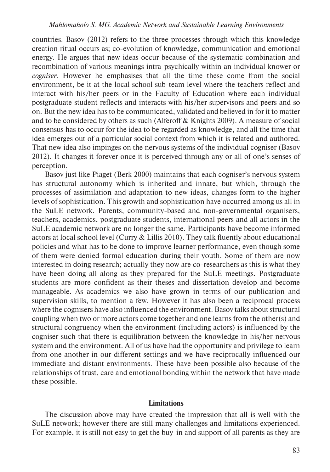countries. Basov (2012) refers to the three processes through which this knowledge creation ritual occurs as; co-evolution of knowledge, communication and emotional energy. He argues that new ideas occur because of the systematic combination and recombination of various meanings intra-psychically within an individual knower or *cogniser*. However he emphasises that all the time these come from the social environment, be it at the local school sub-team level where the teachers reflect and interact with his/her peers or in the Faculty of Education where each individual postgraduate student reflects and interacts with his/her supervisors and peers and so on. But the new idea has to be communicated, validated and believed in for it to matter and to be considered by others as such (Alferoff & Knights 2009). A measure of social consensus has to occur for the idea to be regarded as knowledge, and all the time that idea emerges out of a particular social context from which it is related and authored. That new idea also impinges on the nervous systems of the individual cogniser (Basov 2012). It changes it forever once it is perceived through any or all of one's senses of perception.

Basov just like Piaget (Berk 2000) maintains that each cogniser's nervous system has structural autonomy which is inherited and innate, but which, through the processes of assimilation and adaptation to new ideas, changes form to the higher levels of sophistication. This growth and sophistication have occurred among us all in the SuLE network. Parents, community-based and non-governmental organisers, teachers, academics, postgraduate students, international peers and all actors in the SuLE academic network are no longer the same. Participants have become informed actors at local school level (Curry & Lillis 2010). They talk fluently about educational policies and what has to be done to improve learner performance, even though some of them were denied formal education during their youth. Some of them are now interested in doing research; actually they now are co-researchers as this is what they have been doing all along as they prepared for the SuLE meetings. Postgraduate students are more confident as their theses and dissertation develop and become manageable. As academics we also have grown in terms of our publication and supervision skills, to mention a few. However it has also been a reciprocal process where the cognisers have also influenced the environment. Basov talks about structural coupling when two or more actors come together and one learns from the other(s) and structural congruency when the environment (including actors) is influenced by the cogniser such that there is equilibration between the knowledge in his/her nervous system and the environment. All of us have had the opportunity and privilege to learn from one another in our different settings and we have reciprocally influenced our immediate and distant environments. These have been possible also because of the relationships of trust, care and emotional bonding within the network that have made these possible.

# **Limitations**

The discussion above may have created the impression that all is well with the SuLE network; however there are still many challenges and limitations experienced. For example, it is still not easy to get the buy-in and support of all parents as they are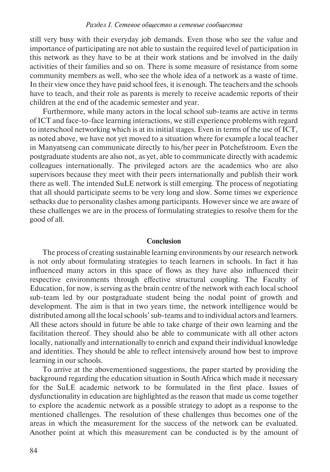still very busy with their everyday job demands. Even those who see the value and importance of participating are not able to sustain the required level of participation in this network as they have to be at their work stations and be involved in the daily activities of their families and so on. There is some measure of resistance from some community members as well, who see the whole idea of a network as a waste of time. In their view once they have paid school fees, it is enough. The teachers and the schools have to teach, and their role as parents is merely to receive academic reports of their children at the end of the academic semester and year.

Furthermore, while many actors in the local school sub-teams are active in terms of ICT and face-to-face learning interactions, we still experience problems with regard to interschool networking which is at its initial stages. Even in terms of the use of ICT, as noted above, we have not yet moved to a situation where for example a local teacher in Manyatseng can communicate directly to his/her peer in Potchefstroom. Even the postgraduate students are also not, as yet, able to communicate directly with academic colleagues internationally. The privileged actors are the academics who are also supervisors because they meet with their peers internationally and publish their work there as well. The intended SuLE network is still emerging. The process of negotiating that all should participate seems to be very long and slow. Some times we experience setbacks due to personality clashes among participants. However since we are aware of these challenges we are in the process of formulating strategies to resolve them for the good of all.

# **Conclusion**

The process of creating sustainable learning environments by our research network is not only about formulating strategies to teach learners in schools. In fact it has influenced many actors in this space of flows as they have also influenced their respective environments through effective structural coupling. The Faculty of Education, for now, is serving as the brain centre of the network with each local school sub-team led by our postgraduate student being the nodal point of growth and development. The aim is that in two years time, the network intelligence would be distributed among all the local schools' sub-teams and to individual actors and learners. All these actors should in future be able to take charge of their own learning and the facilitation thereof. They should also be able to communicate with all other actors locally, nationally and internationally to enrich and expand their individual knowledge and identities. They should be able to reflect intensively around how best to improve learning in our schools.

To arrive at the abovementioned suggestions, the paper started by providing the background regarding the education situation in South Africa which made it necessary for the SuLE academic network to be formulated in the first place. Issues of dysfunctionality in education are highlighted as the reason that made us come together to explore the academic network as a possible strategy to adopt as a response to the mentioned challenges. The resolution of these challenges thus becomes one of the areas in which the measurement for the success of the network can be evaluated. Another point at which this measurement can be conducted is by the amount of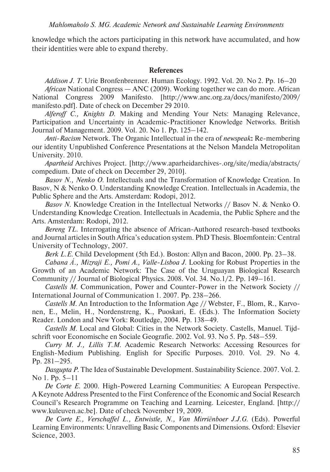knowledge which the actors participating in this network have accumulated, and how their identities were able to expand thereby.

# **References**

*Addison J. T*. Urie Bronfenbrenner. Human Ecology*.* 1992. Vol. 20. No 2. Pp. 16–20 *African* National Congress — ANC (2009). Working together we can do more. African National Congress 2009 Manifesto. [http://www.anc.org.za/docs/manifesto/2009/ manifesto.pdf]. Date of check on December 29 2010.

*Alferoff C., Knights D*. Making and Mending Your Nets: Managing Relevance, Participation and Uncertainty in Academic-Practitioner Knowledge Networks. British Journal of Management. 2009. Vol. 20. No 1. Pp. 125–142.

*Anti-Racism* Network. The Organic Intellectual in the era of *newspeak***:** Re-membering our identity Unpublished Conference Presentations at the Nelson Mandela Metropolitan University. 2010.

*Apartheid* Archives Project. [http://www.aparheidarchives-.org/site/media/abstracts/ compedium. Date of check on December 29, 2010].

*Basov N., Nenko O*. Intellectuals and the Transformation of Knowledge Creation. In Basov, N & Nenko O. Understanding Knowledge Creation. Intellectuals in Academia, the Public Sphere and the Arts. Amsterdam: Rodopi, 2012.

*Basov N*. Knowledge Creation in the Intellectual Networks // Basov N. & Nenko O. Understanding Knowledge Creation. Intellectuals in Academia, the Public Sphere and the Arts. Amsterdam: Rodopi, 2012.

*Bereng TL*. Interrogating the absence of African-Authored research-based textbooks and Journal articles in South Africa's education system. PhD Thesis. Bloemfontein: Central University of Technology, 2007.

*Berk L.E*. Child Development (5th Ed.). Boston: Allyn and Bacon, 2000. Pp. 23–38.

*Cabana Á., Mizraji E., Pomi A., Valle-Lisboa J*. Looking for Robust Properties in the Growth of an Academic Network: The Case of the Uruguayan Biological Research Community // Journal of Biological Physics. 2008. Vol. 34. No.1/2. Pp. 149–161.

*Castells M*. Communication, Power and Counter-Power in the Network Society // International Journal of Communication 1. 2007. Pp. 238–266.

*Castells M*. An Introduction to the Information Age // Webster, F., Blom, R., Karvonen, E., Melin, H., Nordenstreng, K., Puoskari, E. (Eds.). The Information Society Reader. London and New York: Routledge, 2004. Pp. 138–49.

*Castells M*. Local and Global: Cities in the Network Society. Castells, Manuel. Tijdschrift voor Economische en Sociale Geografie. 2002. Vol. 93. No 5. Pp. 548–559.

*Curry M. J., Lillis T.M*. Academic Research Networks: Accessing Resources for English-Medium Publishing. English for Specific Purposes. 2010. Vol. 29. No 4. Pp. 281–295.

*Dasgupta P*. The Idea of Sustainable Development. Sustainability Science*.* 2007. Vol. 2. No 1. Pp. 5–11

*De Corte E*. 2000. High-Powered Learning Communities: A European Perspective. A Keynote Address Presented to the First Conference of the Economic and Social Research Council's Research Programme on Teaching and Learning. Leicester, England. [http:// www.kuleuven.ac.be]. Date of check November 19, 2009.

*De Corte E., Verschaffel L., Entwistle, N., Van Mirriënboer J.J.G*. (Eds). Powerful Learning Environments: Unravelling Basic Components and Dimensions. Oxford: Elsevier Science, 2003.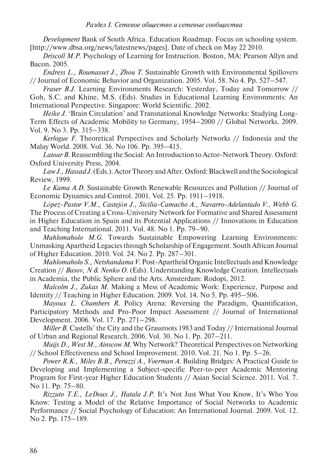*Development* Bank of South Africa. Education Roadmap. Focus on schooling system. [http://www.dbsa.org/news/latestnews/pages]. Date of check on May 22 2010.

*Driscoll M.P*. Psychology of Learning for Instruction. Boston, MA: Pearson Allyn and Bacon. 2005.

*Endress L., Roumasset J., Zhou T*. Sustainable Growth with Environmental Spillovers // Journal of Economic Behavior and Organization. 2005. Vol. 58. No 4. Pp. 527–547.

*Fraser B.J*. Learning Environments Research: Yesterday, Today and Tomorrow // Goh, S.C. and Khine, M.S. (Eds). Studies in Educational Learning Environments: An International Perspective. Singapore: World Scientific. 2002.

*Heike J*. 'Brain Circulation' and Transnational Knowledge Networks: Studying Long-Term Effects of Academic Mobility to Germany, 1954–2000 // Global Networks. 2009. Vol. 9. No 3. Pp. 315–338.

*Kerlogue F*. Theoretical Perspectives and Scholarly Networks // Indonesia and the Malay World. 2008. Vol. 36. No 106. Pp. 395–415.

*Latour B*. Reassembling the Social: An Introduction to Actor-Network Theory. Oxford: Oxford University Press, 2004.

*Law J., Hassad J*. (Eds.). Actor Theory and After. Oxford: Blackwell and the Sociological Review, 1999.

*Le Kama A.D*. Sustainable Growth Renewable Resources and Pollution // Journal of Economic Dynamics and Control. 2001. Vol. 25. Pp. 1911–1918.

*López-Pastor V.M., Castejón J., Sicilia-Camacho A., Navarro-Adelantado V., Webb G*. The Process of Creating a Cross-University Network for Formative and Shared Assessment in Higher Education in Spain and its Potential Applications // Innovations in Education and Teaching International*.* 2011. Vol. 48. No 1. Pp. 79–90.

*Mahlomaholo M.G*. Towards Sustainable Empowering Learning Environments: Unmasking Apartheid Legacies through Scholarship of Engagement. South African Journal of Higher Education. 2010. Vol. 24. No 2. Pp. 287–301.

*Mahlomaholo S., Netshandama V*. Post-Apartheid Organic Intellectuals and Knowledge Creation // *Basov, N & Nenko O*. (Eds). Understanding Knowledge Creation. Intellectuals in Academia, the Public Sphere and the Arts. Amsterdam: Rodopi, 2012.

*Malcolm J., Zukas M*. Making a Mess of Academic Work: Experience, Purpose and Identity // Teaching in Higher Education. 2009. Vol. 14. No 5. Pp. 495–506.

*Mayoux L. Chambers R*. Policy Arena: Reversing the Paradigm, Quantification, Participatory Methods and Pro-Poor Impact Assessment // Journal of International Development*.* 2006. Vol. 17. Pp. 271–298.

*Miller B*. Castells' the City and the Grassroots 1983 and Today // International Journal of Urban and Regional Research. 2006. Vol. 30. No 1. Pp. 207–211.

*Muijs D., West M., Ainscow M*. Why Network? Theoretical Perspectives on Networking // School Effectiveness and School Improvement. 2010. Vol. 21. No 1. Pp. 5–26.

*Power R.K., Miles B.B., Peruzzi A., Voerman A*. Building Bridges: A Practical Guide to Developing and Implementing a Subject-specific Peer-to-peer Academic Mentoring Program for First-year Higher Education Students // Asian Social Science. 2011. Vol. 7. No 11. Pp. 75–80.

*Rizzuto T.E., LeDoux J., Hatala J.P*. It's Not Just What You Know, It's Who You Know: Testing a Model of the Relative Importance of Social Networks to Academic Performance // Social Psychology of Education: An International Journal. 2009. Vol. 12. No 2. Pp. 175–189.